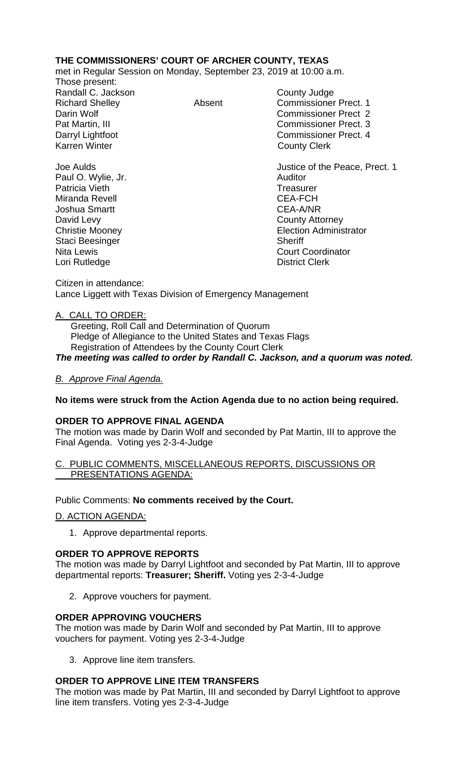# **THE COMMISSIONERS' COURT OF ARCHER COUNTY, TEXAS**

met in Regular Session on Monday, September 23, 2019 at 10:00 a.m.

Those present: Randall C. Jackson County Judge

Richard Shelley **Absent** Commissioner Prect. 1 Darin Wolf Commissioner Prect 2 Pat Martin, III Commissioner Prect. 3 Darryl Lightfoot **Commissioner Prect. 4**<br>
Karren Winter **County County Clerk County Clerk** 

Joe Aulds Justice of the Peace, Prect. 1 Paul O. Wylie, Jr. **Auditor Paul O. Wylie, Jr. Auditor** Patricia Vieth **Treasurer** Treasurer Miranda Revell **CEA-FCH** Joshua Smartt CEA-A/NR David Levy **County Attorney** Christie Mooney Election Administrator Staci Beesinger Sheriff Nita Lewis Court Coordinator

Citizen in attendance: Lance Liggett with Texas Division of Emergency Management

## A. CALL TO ORDER:

Lori Rutledge

 Greeting, Roll Call and Determination of Quorum Pledge of Allegiance to the United States and Texas Flags Registration of Attendees by the County Court Clerk *The meeting was called to order by Randall C. Jackson, and a quorum was noted.*

## *B. Approve Final Agenda.*

## **No items were struck from the Action Agenda due to no action being required.**

#### **ORDER TO APPROVE FINAL AGENDA**

The motion was made by Darin Wolf and seconded by Pat Martin, III to approve the Final Agenda. Voting yes 2-3-4-Judge

#### C. PUBLIC COMMENTS, MISCELLANEOUS REPORTS, DISCUSSIONS OR PRESENTATIONS AGENDA:

## Public Comments: **No comments received by the Court.**

#### D. ACTION AGENDA:

1. Approve departmental reports.

#### **ORDER TO APPROVE REPORTS**

The motion was made by Darryl Lightfoot and seconded by Pat Martin, III to approve departmental reports: **Treasurer; Sheriff.** Voting yes 2-3-4-Judge

2. Approve vouchers for payment.

## **ORDER APPROVING VOUCHERS**

The motion was made by Darin Wolf and seconded by Pat Martin, III to approve vouchers for payment. Voting yes 2-3-4-Judge

3. Approve line item transfers.

## **ORDER TO APPROVE LINE ITEM TRANSFERS**

The motion was made by Pat Martin, III and seconded by Darryl Lightfoot to approve line item transfers. Voting yes 2-3-4-Judge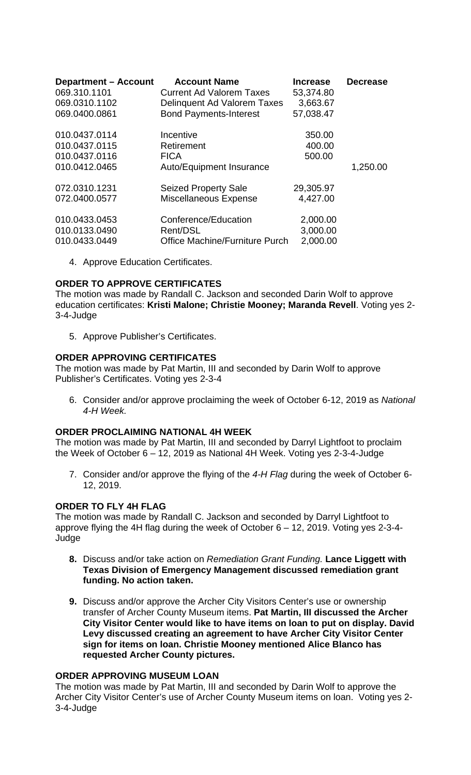| <b>Department - Account</b> | <b>Account Name</b>             | <b>Increase</b> | <b>Decrease</b> |
|-----------------------------|---------------------------------|-----------------|-----------------|
| 069.310.1101                | <b>Current Ad Valorem Taxes</b> | 53,374.80       |                 |
| 069.0310.1102               | Delinquent Ad Valorem Taxes     | 3,663.67        |                 |
| 069.0400.0861               | <b>Bond Payments-Interest</b>   | 57,038.47       |                 |
| 010.0437.0114               | Incentive                       | 350.00          |                 |
| 010.0437.0115               | Retirement                      | 400.00          |                 |
| 010.0437.0116               | <b>FICA</b>                     | 500.00          |                 |
| 010.0412.0465               | Auto/Equipment Insurance        |                 | 1,250.00        |
| 072.0310.1231               | <b>Seized Property Sale</b>     | 29,305.97       |                 |
| 072.0400.0577               | Miscellaneous Expense           | 4,427.00        |                 |
| 010.0433.0453               | Conference/Education            | 2,000.00        |                 |
| 010.0133.0490               | Rent/DSL                        | 3,000.00        |                 |
| 010.0433.0449               | Office Machine/Furniture Purch  | 2,000.00        |                 |

4. Approve Education Certificates.

# **ORDER TO APPROVE CERTIFICATES**

The motion was made by Randall C. Jackson and seconded Darin Wolf to approve education certificates: **Kristi Malone; Christie Mooney; Maranda Revell**. Voting yes 2- 3-4-Judge

5. Approve Publisher's Certificates.

## **ORDER APPROVING CERTIFICATES**

The motion was made by Pat Martin, III and seconded by Darin Wolf to approve Publisher's Certificates. Voting yes 2-3-4

6. Consider and/or approve proclaiming the week of October 6-12, 2019 as *National 4-H Week.*

#### **ORDER PROCLAIMING NATIONAL 4H WEEK**

The motion was made by Pat Martin, III and seconded by Darryl Lightfoot to proclaim the Week of October 6 – 12, 2019 as National 4H Week. Voting yes 2-3-4-Judge

7. Consider and/or approve the flying of the *4-H Flag* during the week of October 6- 12, 2019.

#### **ORDER TO FLY 4H FLAG**

The motion was made by Randall C. Jackson and seconded by Darryl Lightfoot to approve flying the 4H flag during the week of October 6 – 12, 2019. Voting yes 2-3-4- Judge

- **8.** Discuss and/or take action on *Remediation Grant Funding.* **Lance Liggett with Texas Division of Emergency Management discussed remediation grant funding. No action taken.**
- **9.** Discuss and/or approve the Archer City Visitors Center's use or ownership transfer of Archer County Museum items. **Pat Martin, III discussed the Archer City Visitor Center would like to have items on loan to put on display. David Levy discussed creating an agreement to have Archer City Visitor Center sign for items on loan. Christie Mooney mentioned Alice Blanco has requested Archer County pictures.**

#### **ORDER APPROVING MUSEUM LOAN**

The motion was made by Pat Martin, III and seconded by Darin Wolf to approve the Archer City Visitor Center's use of Archer County Museum items on loan. Voting yes 2- 3-4-Judge